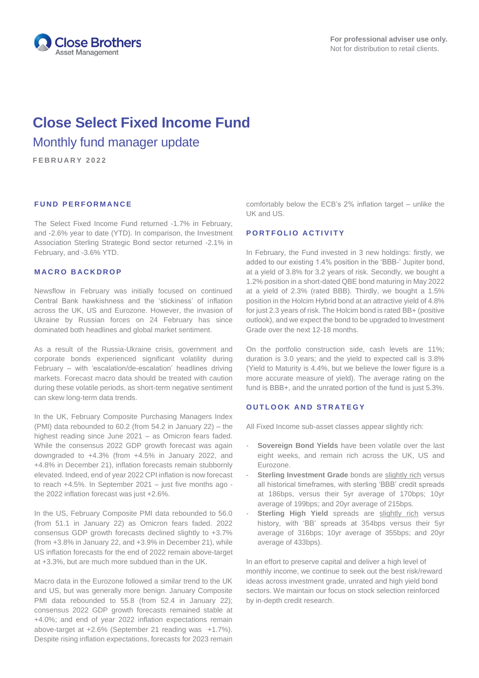

# **Close Select Fixed Income Fund** Monthly fund manager update

**F E B R U A R Y 2 0 2 2**

## **FUND PERFORMANCE**

The Select Fixed Income Fund returned -1.7% in February, and -2.6% year to date (YTD). In comparison, the Investment Association Sterling Strategic Bond sector returned -2.1% in February, and -3.6% YTD.

#### **M A C R O B A C K D R O P**

Newsflow in February was initially focused on continued Central Bank hawkishness and the 'stickiness' of inflation across the UK, US and Eurozone. However, the invasion of Ukraine by Russian forces on 24 February has since dominated both headlines and global market sentiment.

As a result of the Russia-Ukraine crisis, government and corporate bonds experienced significant volatility during February – with 'escalation/de-escalation' headlines driving markets. Forecast macro data should be treated with caution during these volatile periods, as short-term negative sentiment can skew long-term data trends.

In the UK, February Composite Purchasing Managers Index (PMI) data rebounded to 60.2 (from 54.2 in January 22) – the highest reading since June 2021 – as Omicron fears faded. While the consensus 2022 GDP growth forecast was again downgraded to +4.3% (from +4.5% in January 2022, and +4.8% in December 21), inflation forecasts remain stubbornly elevated. Indeed, end of year 2022 CPI inflation is now forecast to reach +4.5%. In September 2021 – just five months ago the 2022 inflation forecast was just +2.6%.

In the US, February Composite PMI data rebounded to 56.0 (from 51.1 in January 22) as Omicron fears faded. 2022 consensus GDP growth forecasts declined slightly to +3.7% (from +3.8% in January 22, and +3.9% in December 21), while US inflation forecasts for the end of 2022 remain above-target at +3.3%, but are much more subdued than in the UK.

Macro data in the Eurozone followed a similar trend to the UK and US, but was generally more benign. January Composite PMI data rebounded to 55.8 (from 52.4 in January 22); consensus 2022 GDP growth forecasts remained stable at +4.0%; and end of year 2022 inflation expectations remain above-target at +2.6% (September 21 reading was +1.7%). Despite rising inflation expectations, forecasts for 2023 remain comfortably below the ECB's 2% inflation target – unlike the UK and US.

## **PORTFOLIO ACTIVITY**

In February, the Fund invested in 3 new holdings: firstly, we added to our existing 1.4% position in the 'BBB-' Jupiter bond, at a yield of 3.8% for 3.2 years of risk. Secondly, we bought a 1.2% position in a short-dated QBE bond maturing in May 2022 at a yield of 2.3% (rated BBB). Thirdly, we bought a 1.5% position in the Holcim Hybrid bond at an attractive yield of 4.8% for just 2.3 years of risk. The Holcim bond is rated BB+ (positive outlook), and we expect the bond to be upgraded to Investment Grade over the next 12-18 months.

On the portfolio construction side, cash levels are 11%; duration is 3.0 years; and the yield to expected call is 3.8% (Yield to Maturity is 4.4%, but we believe the lower figure is a more accurate measure of yield). The average rating on the fund is BBB+, and the unrated portion of the fund is just 5.3%.

#### **OUTLOOK AND STRATEGY**

All Fixed Income sub-asset classes appear slightly rich:

- Sovereign Bond Yields have been volatile over the last eight weeks, and remain rich across the UK, US and Eurozone.
- **Sterling Investment Grade** bonds are slightly rich versus all historical timeframes, with sterling 'BBB' credit spreads at 186bps, versus their 5yr average of 170bps; 10yr average of 199bps; and 20yr average of 215bps.
- Sterling High Yield spreads are slightly rich versus history, with 'BB' spreads at 354bps versus their 5yr average of 316bps; 10yr average of 355bps; and 20yr average of 433bps).

In an effort to preserve capital and deliver a high level of monthly income, we continue to seek out the best risk/reward ideas across investment grade, unrated and high yield bond sectors. We maintain our focus on stock selection reinforced by in-depth credit research.